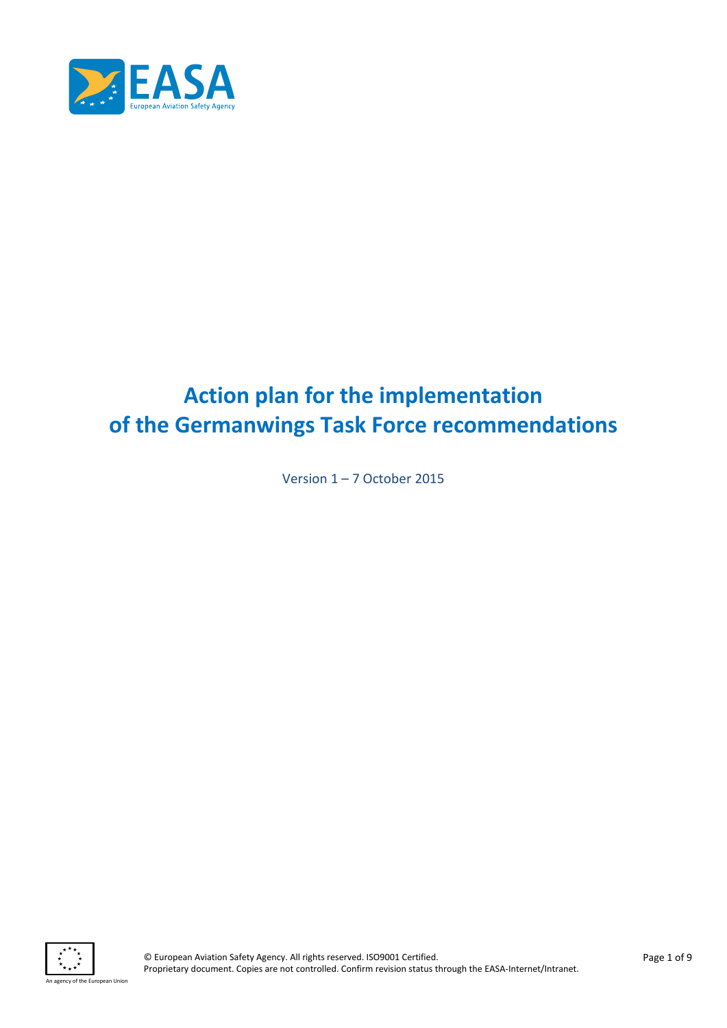

# **Action plan for the implementation of the Germanwings Task Force recommendations**

Version 1 – 7 October 2015

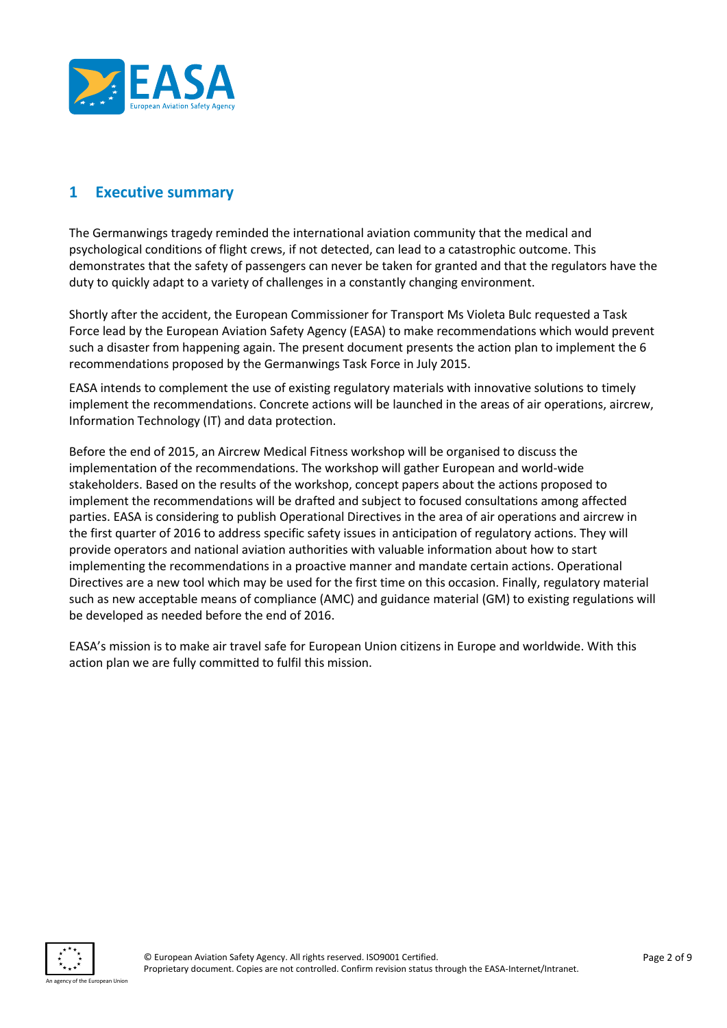

## **1 Executive summary**

The Germanwings tragedy reminded the international aviation community that the medical and psychological conditions of flight crews, if not detected, can lead to a catastrophic outcome. This demonstrates that the safety of passengers can never be taken for granted and that the regulators have the duty to quickly adapt to a variety of challenges in a constantly changing environment.

Shortly after the accident, the European Commissioner for Transport Ms Violeta Bulc requested a Task Force lead by the European Aviation Safety Agency (EASA) to make recommendations which would prevent such a disaster from happening again. The present document presents the action plan to implement the 6 recommendations proposed by the Germanwings Task Force in July 2015.

EASA intends to complement the use of existing regulatory materials with innovative solutions to timely implement the recommendations. Concrete actions will be launched in the areas of air operations, aircrew, Information Technology (IT) and data protection.

Before the end of 2015, an Aircrew Medical Fitness workshop will be organised to discuss the implementation of the recommendations. The workshop will gather European and world-wide stakeholders. Based on the results of the workshop, concept papers about the actions proposed to implement the recommendations will be drafted and subject to focused consultations among affected parties. EASA is considering to publish Operational Directives in the area of air operations and aircrew in the first quarter of 2016 to address specific safety issues in anticipation of regulatory actions. They will provide operators and national aviation authorities with valuable information about how to start implementing the recommendations in a proactive manner and mandate certain actions. Operational Directives are a new tool which may be used for the first time on this occasion. Finally, regulatory material such as new acceptable means of compliance (AMC) and guidance material (GM) to existing regulations will be developed as needed before the end of 2016.

EASA's mission is to make air travel safe for European Union citizens in Europe and worldwide. With this action plan we are fully committed to fulfil this mission.

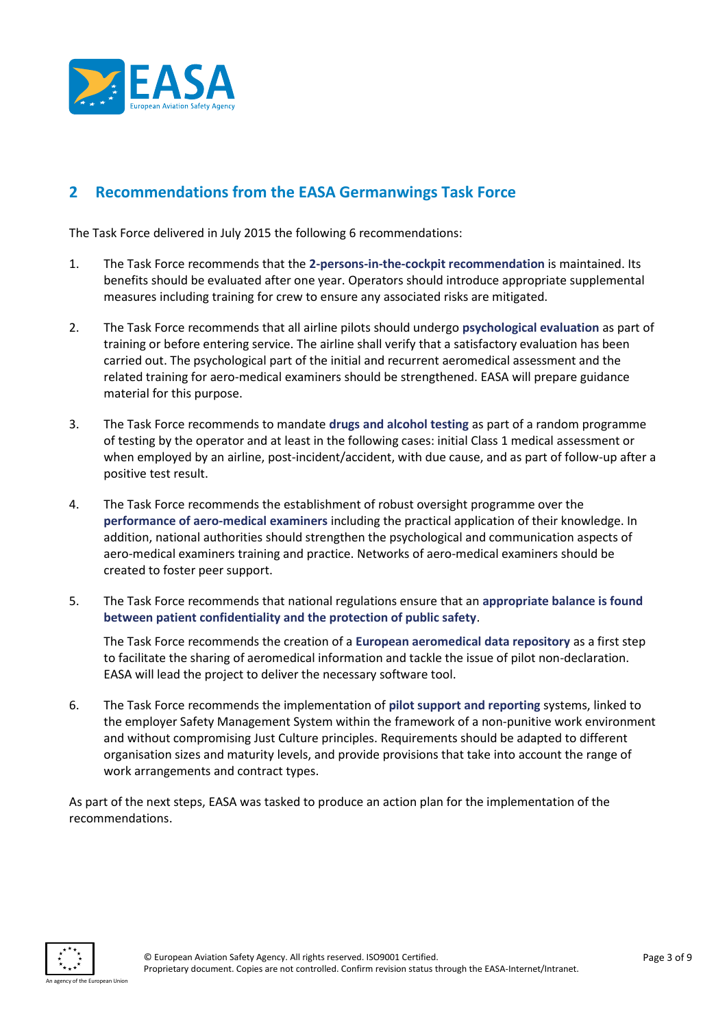

# **2 Recommendations from the EASA Germanwings Task Force**

The Task Force delivered in July 2015 the following 6 recommendations:

- 1. The Task Force recommends that the **2-persons-in-the-cockpit recommendation** is maintained. Its benefits should be evaluated after one year. Operators should introduce appropriate supplemental measures including training for crew to ensure any associated risks are mitigated.
- 2. The Task Force recommends that all airline pilots should undergo **psychological evaluation** as part of training or before entering service. The airline shall verify that a satisfactory evaluation has been carried out. The psychological part of the initial and recurrent aeromedical assessment and the related training for aero-medical examiners should be strengthened. EASA will prepare guidance material for this purpose.
- 3. The Task Force recommends to mandate **drugs and alcohol testing** as part of a random programme of testing by the operator and at least in the following cases: initial Class 1 medical assessment or when employed by an airline, post-incident/accident, with due cause, and as part of follow-up after a positive test result.
- 4. The Task Force recommends the establishment of robust oversight programme over the **performance of aero-medical examiners** including the practical application of their knowledge. In addition, national authorities should strengthen the psychological and communication aspects of aero-medical examiners training and practice. Networks of aero-medical examiners should be created to foster peer support.
- 5. The Task Force recommends that national regulations ensure that an **appropriate balance is found between patient confidentiality and the protection of public safety**.

The Task Force recommends the creation of a **European aeromedical data repository** as a first step to facilitate the sharing of aeromedical information and tackle the issue of pilot non-declaration. EASA will lead the project to deliver the necessary software tool.

6. The Task Force recommends the implementation of **pilot support and reporting** systems, linked to the employer Safety Management System within the framework of a non-punitive work environment and without compromising Just Culture principles. Requirements should be adapted to different organisation sizes and maturity levels, and provide provisions that take into account the range of work arrangements and contract types.

As part of the next steps, EASA was tasked to produce an action plan for the implementation of the recommendations.

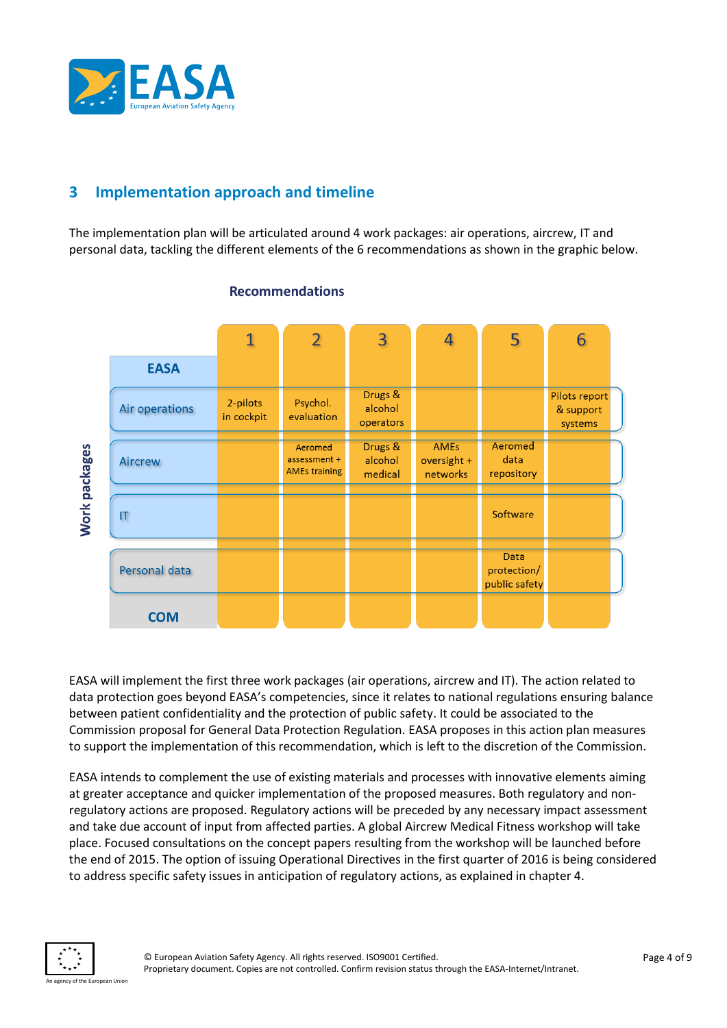

# **3 Implementation approach and timeline**

The implementation plan will be articulated around 4 work packages: air operations, aircrew, IT and personal data, tackling the different elements of the 6 recommendations as shown in the graphic below.



## **Recommendations**

EASA will implement the first three work packages (air operations, aircrew and IT). The action related to data protection goes beyond EASA's competencies, since it relates to national regulations ensuring balance between patient confidentiality and the protection of public safety. It could be associated to the Commission proposal for General Data Protection Regulation. EASA proposes in this action plan measures to support the implementation of this recommendation, which is left to the discretion of the Commission.

EASA intends to complement the use of existing materials and processes with innovative elements aiming at greater acceptance and quicker implementation of the proposed measures. Both regulatory and nonregulatory actions are proposed. Regulatory actions will be preceded by any necessary impact assessment and take due account of input from affected parties. A global Aircrew Medical Fitness workshop will take place. Focused consultations on the concept papers resulting from the workshop will be launched before the end of 2015. The option of issuing Operational Directives in the first quarter of 2016 is being considered to address specific safety issues in anticipation of regulatory actions, as explained in chapter 4.

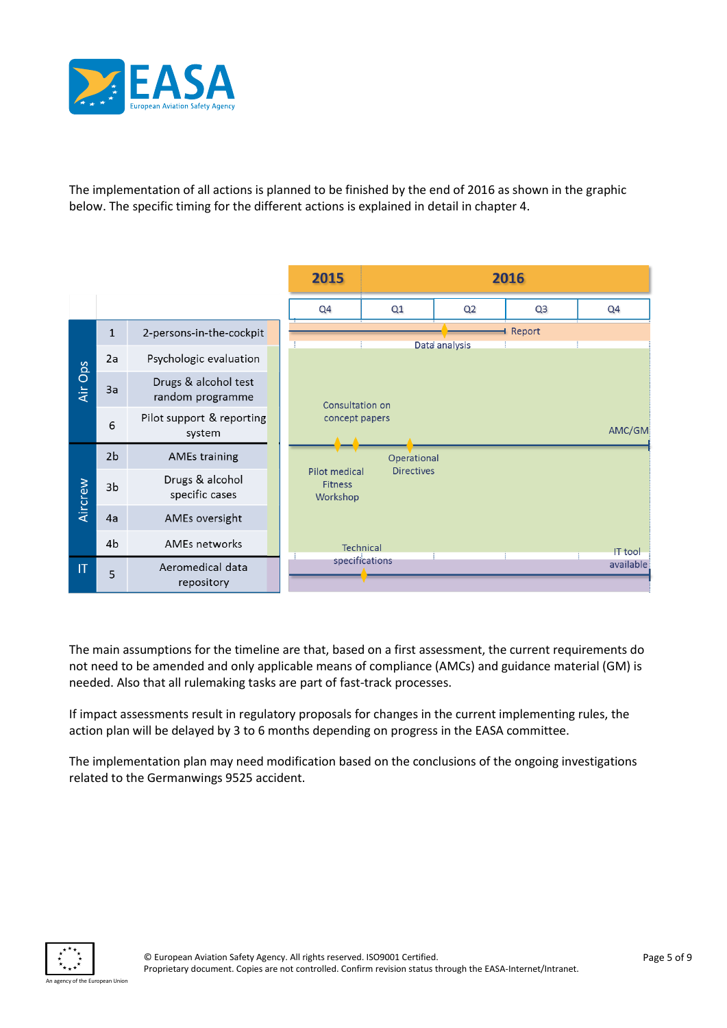

The implementation of all actions is planned to be finished by the end of 2016 as shown in the graphic below. The specific timing for the different actions is explained in detail in chapter 4.



The main assumptions for the timeline are that, based on a first assessment, the current requirements do not need to be amended and only applicable means of compliance (AMCs) and guidance material (GM) is needed. Also that all rulemaking tasks are part of fast-track processes.

If impact assessments result in regulatory proposals for changes in the current implementing rules, the action plan will be delayed by 3 to 6 months depending on progress in the EASA committee.

The implementation plan may need modification based on the conclusions of the ongoing investigations related to the Germanwings 9525 accident.

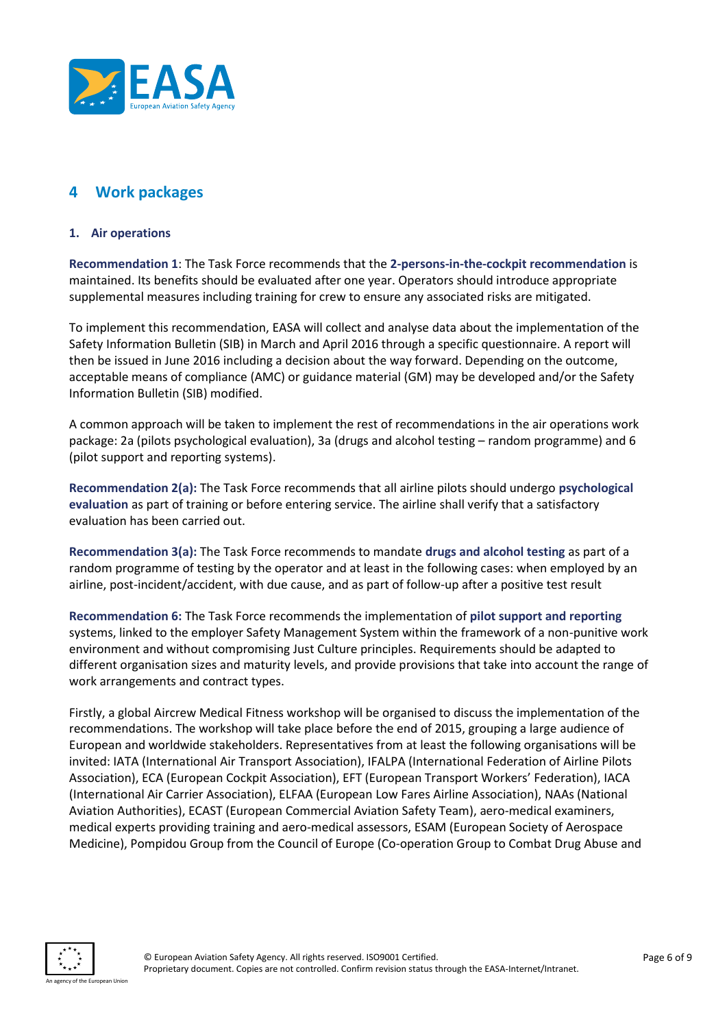

## **4 Work packages**

#### **1. Air operations**

**Recommendation 1**: The Task Force recommends that the **2-persons-in-the-cockpit recommendation** is maintained. Its benefits should be evaluated after one year. Operators should introduce appropriate supplemental measures including training for crew to ensure any associated risks are mitigated.

To implement this recommendation, EASA will collect and analyse data about the implementation of the Safety Information Bulletin (SIB) in March and April 2016 through a specific questionnaire. A report will then be issued in June 2016 including a decision about the way forward. Depending on the outcome, acceptable means of compliance (AMC) or guidance material (GM) may be developed and/or the Safety Information Bulletin (SIB) modified.

A common approach will be taken to implement the rest of recommendations in the air operations work package: 2a (pilots psychological evaluation), 3a (drugs and alcohol testing – random programme) and 6 (pilot support and reporting systems).

**Recommendation 2(a):** The Task Force recommends that all airline pilots should undergo **psychological evaluation** as part of training or before entering service. The airline shall verify that a satisfactory evaluation has been carried out.

**Recommendation 3(a):** The Task Force recommends to mandate **drugs and alcohol testing** as part of a random programme of testing by the operator and at least in the following cases: when employed by an airline, post-incident/accident, with due cause, and as part of follow-up after a positive test result

**Recommendation 6:** The Task Force recommends the implementation of **pilot support and reporting** systems, linked to the employer Safety Management System within the framework of a non-punitive work environment and without compromising Just Culture principles. Requirements should be adapted to different organisation sizes and maturity levels, and provide provisions that take into account the range of work arrangements and contract types.

Firstly, a global Aircrew Medical Fitness workshop will be organised to discuss the implementation of the recommendations. The workshop will take place before the end of 2015, grouping a large audience of European and worldwide stakeholders. Representatives from at least the following organisations will be invited: IATA (International Air Transport Association), IFALPA (International Federation of Airline Pilots Association), ECA (European Cockpit Association), EFT (European Transport Workers' Federation), IACA (International Air Carrier Association), ELFAA (European Low Fares Airline Association), NAAs (National Aviation Authorities), ECAST (European Commercial Aviation Safety Team), aero-medical examiners, medical experts providing training and aero-medical assessors, ESAM (European Society of Aerospace Medicine), Pompidou Group from the Council of Europe (Co-operation Group to Combat Drug Abuse and

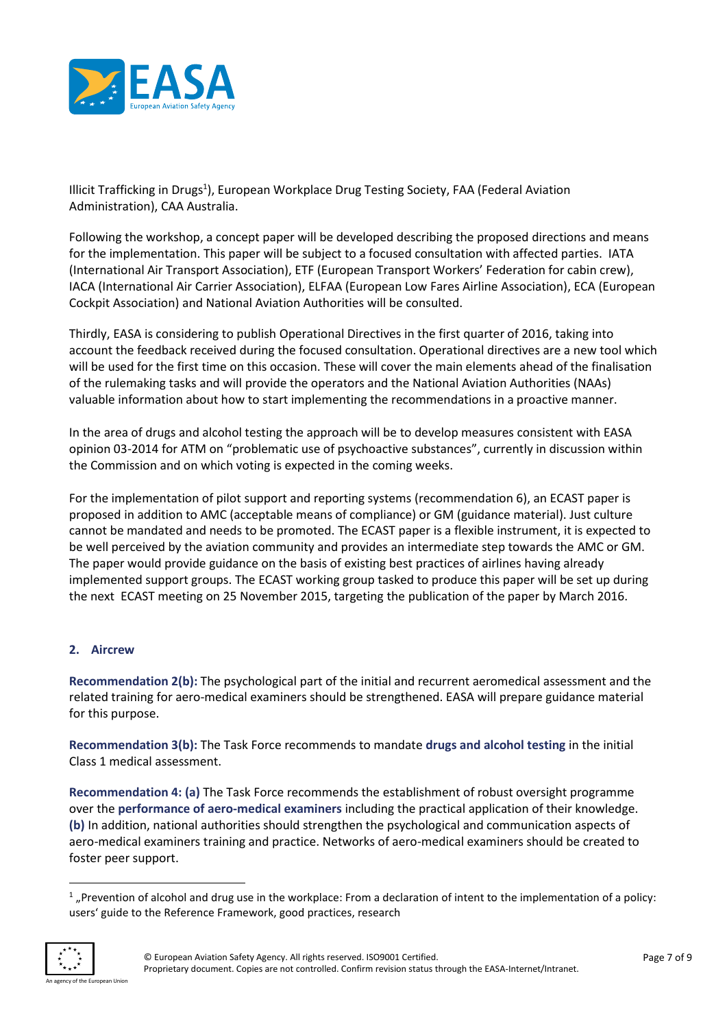

Illicit Trafficking in Drugs<sup>1</sup>), European Workplace Drug Testing Society, FAA (Federal Aviation Administration), CAA Australia.

Following the workshop, a concept paper will be developed describing the proposed directions and means for the implementation. This paper will be subject to a focused consultation with affected parties. IATA (International Air Transport Association), ETF (European Transport Workers' Federation for cabin crew), IACA (International Air Carrier Association), ELFAA (European Low Fares Airline Association), ECA (European Cockpit Association) and National Aviation Authorities will be consulted.

Thirdly, EASA is considering to publish Operational Directives in the first quarter of 2016, taking into account the feedback received during the focused consultation. Operational directives are a new tool which will be used for the first time on this occasion. These will cover the main elements ahead of the finalisation of the rulemaking tasks and will provide the operators and the National Aviation Authorities (NAAs) valuable information about how to start implementing the recommendations in a proactive manner.

In the area of drugs and alcohol testing the approach will be to develop measures consistent with EASA opinion 03-2014 for ATM on "problematic use of psychoactive substances", currently in discussion within the Commission and on which voting is expected in the coming weeks.

For the implementation of pilot support and reporting systems (recommendation 6), an ECAST paper is proposed in addition to AMC (acceptable means of compliance) or GM (guidance material). Just culture cannot be mandated and needs to be promoted. The ECAST paper is a flexible instrument, it is expected to be well perceived by the aviation community and provides an intermediate step towards the AMC or GM. The paper would provide guidance on the basis of existing best practices of airlines having already implemented support groups. The ECAST working group tasked to produce this paper will be set up during the next ECAST meeting on 25 November 2015, targeting the publication of the paper by March 2016.

## **2. Aircrew**

**Recommendation 2(b):** The psychological part of the initial and recurrent aeromedical assessment and the related training for aero-medical examiners should be strengthened. EASA will prepare guidance material for this purpose.

**Recommendation 3(b):** The Task Force recommends to mandate **drugs and alcohol testing** in the initial Class 1 medical assessment.

**Recommendation 4: (a)** The Task Force recommends the establishment of robust oversight programme over the **performance of aero-medical examiners** including the practical application of their knowledge. **(b)** In addition, national authorities should strengthen the psychological and communication aspects of aero-medical examiners training and practice. Networks of aero-medical examiners should be created to foster peer support.

 $1$  "Prevention of alcohol and drug use in the workplace: From a declaration of intent to the implementation of a policy: users' guide to the Reference Framework, good practices, research



**.**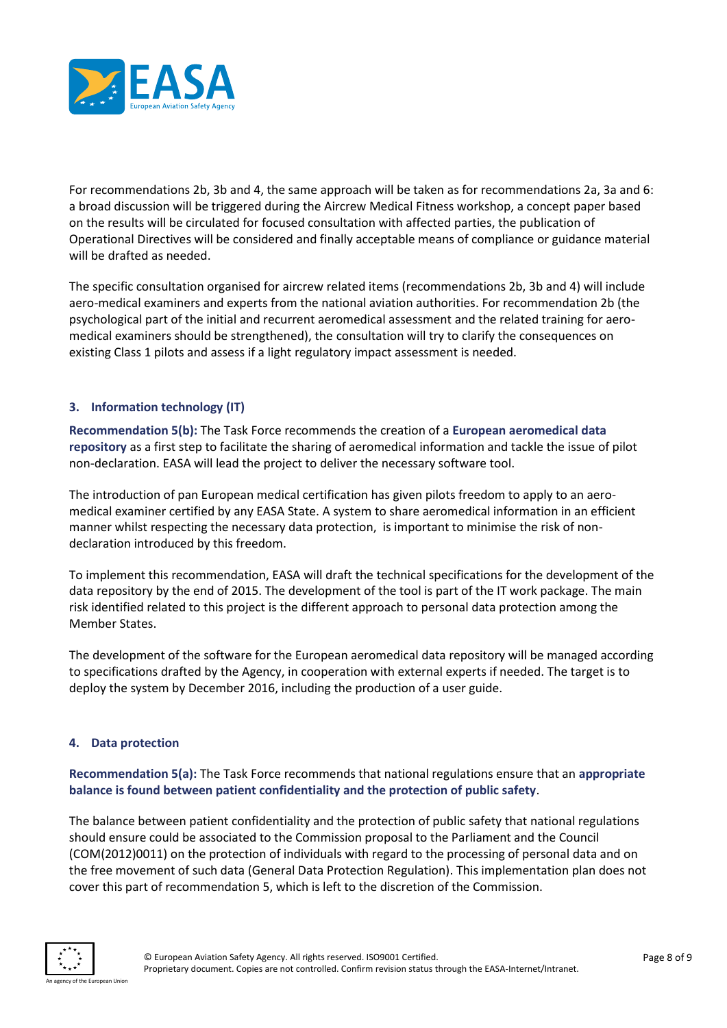

For recommendations 2b, 3b and 4, the same approach will be taken as for recommendations 2a, 3a and 6: a broad discussion will be triggered during the Aircrew Medical Fitness workshop, a concept paper based on the results will be circulated for focused consultation with affected parties, the publication of Operational Directives will be considered and finally acceptable means of compliance or guidance material will be drafted as needed.

The specific consultation organised for aircrew related items (recommendations 2b, 3b and 4) will include aero-medical examiners and experts from the national aviation authorities. For recommendation 2b (the psychological part of the initial and recurrent aeromedical assessment and the related training for aeromedical examiners should be strengthened), the consultation will try to clarify the consequences on existing Class 1 pilots and assess if a light regulatory impact assessment is needed.

#### **3. Information technology (IT)**

**Recommendation 5(b):** The Task Force recommends the creation of a **European aeromedical data repository** as a first step to facilitate the sharing of aeromedical information and tackle the issue of pilot non-declaration. EASA will lead the project to deliver the necessary software tool.

The introduction of pan European medical certification has given pilots freedom to apply to an aeromedical examiner certified by any EASA State. A system to share aeromedical information in an efficient manner whilst respecting the necessary data protection, is important to minimise the risk of nondeclaration introduced by this freedom.

To implement this recommendation, EASA will draft the technical specifications for the development of the data repository by the end of 2015. The development of the tool is part of the IT work package. The main risk identified related to this project is the different approach to personal data protection among the Member States.

The development of the software for the European aeromedical data repository will be managed according to specifications drafted by the Agency, in cooperation with external experts if needed. The target is to deploy the system by December 2016, including the production of a user guide.

#### **4. Data protection**

**Recommendation 5(a):** The Task Force recommends that national regulations ensure that an **appropriate balance is found between patient confidentiality and the protection of public safety**.

The balance between patient confidentiality and the protection of public safety that national regulations should ensure could be associated to the Commission proposal to the Parliament and the Council (COM(2012)0011) on the protection of individuals with regard to the processing of personal data and on the free movement of such data (General Data Protection Regulation). This implementation plan does not cover this part of recommendation 5, which is left to the discretion of the Commission.